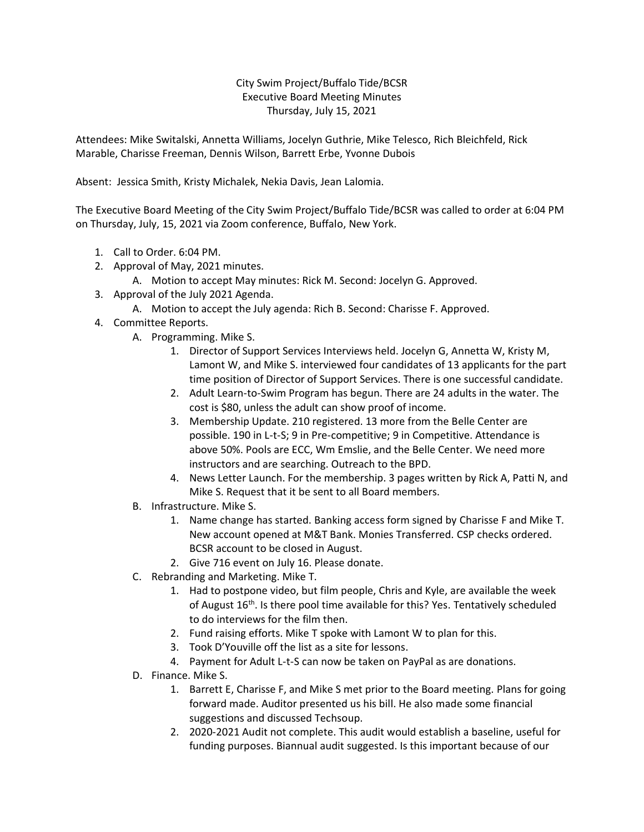## City Swim Project/Buffalo Tide/BCSR Executive Board Meeting Minutes Thursday, July 15, 2021

Attendees: Mike Switalski, Annetta Williams, Jocelyn Guthrie, Mike Telesco, Rich Bleichfeld, Rick Marable, Charisse Freeman, Dennis Wilson, Barrett Erbe, Yvonne Dubois

Absent: Jessica Smith, Kristy Michalek, Nekia Davis, Jean Lalomia.

The Executive Board Meeting of the City Swim Project/Buffalo Tide/BCSR was called to order at 6:04 PM on Thursday, July, 15, 2021 via Zoom conference, Buffalo, New York.

- 1. Call to Order. 6:04 PM.
- 2. Approval of May, 2021 minutes.
	- A. Motion to accept May minutes: Rick M. Second: Jocelyn G. Approved.
- 3. Approval of the July 2021 Agenda.
	- A. Motion to accept the July agenda: Rich B. Second: Charisse F. Approved.
- 4. Committee Reports.
	- A. Programming. Mike S.
		- 1. Director of Support Services Interviews held. Jocelyn G, Annetta W, Kristy M, Lamont W, and Mike S. interviewed four candidates of 13 applicants for the part time position of Director of Support Services. There is one successful candidate.
		- 2. Adult Learn-to-Swim Program has begun. There are 24 adults in the water. The cost is \$80, unless the adult can show proof of income.
		- 3. Membership Update. 210 registered. 13 more from the Belle Center are possible. 190 in L-t-S; 9 in Pre-competitive; 9 in Competitive. Attendance is above 50%. Pools are ECC, Wm Emslie, and the Belle Center. We need more instructors and are searching. Outreach to the BPD.
		- 4. News Letter Launch. For the membership. 3 pages written by Rick A, Patti N, and Mike S. Request that it be sent to all Board members.
	- B. Infrastructure. Mike S.
		- 1. Name change has started. Banking access form signed by Charisse F and Mike T. New account opened at M&T Bank. Monies Transferred. CSP checks ordered. BCSR account to be closed in August.
		- 2. Give 716 event on July 16. Please donate.
	- C. Rebranding and Marketing. Mike T.
		- 1. Had to postpone video, but film people, Chris and Kyle, are available the week of August 16<sup>th</sup>. Is there pool time available for this? Yes. Tentatively scheduled to do interviews for the film then.
		- 2. Fund raising efforts. Mike T spoke with Lamont W to plan for this.
		- 3. Took D'Youville off the list as a site for lessons.
		- 4. Payment for Adult L-t-S can now be taken on PayPal as are donations.
	- D. Finance. Mike S.
		- 1. Barrett E, Charisse F, and Mike S met prior to the Board meeting. Plans for going forward made. Auditor presented us his bill. He also made some financial suggestions and discussed Techsoup.
		- 2. 2020-2021 Audit not complete. This audit would establish a baseline, useful for funding purposes. Biannual audit suggested. Is this important because of our